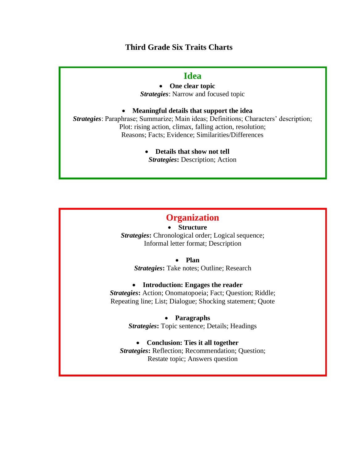## **Third Grade Six Traits Charts**

## **Idea**

• **One clear topic** *Strategies*: Narrow and focused topic

#### • **Meaningful details that support the idea**

*Strategies*: Paraphrase; Summarize; Main ideas; Definitions; Characters' description; Plot: rising action, climax, falling action, resolution; Reasons; Facts; Evidence; Similarities/Differences

> • **Details that show not tell** *Strategies***:** Description; Action

# **Organization**

• **Structure**

*Strategies*: Chronological order; Logical sequence; Informal letter format; Description

• **Plan**

*Strategies***:** Take notes; Outline; Research

#### • **Introduction: Engages the reader**

*Strategies***:** Action; Onomatopoeia; Fact; Question; Riddle; Repeating line; List; Dialogue; Shocking statement; Quote

• **Paragraphs**

*Strategies***:** Topic sentence; Details; Headings

#### • **Conclusion: Ties it all together**

*Strategies***:** Reflection; Recommendation; Question; Restate topic; Answers question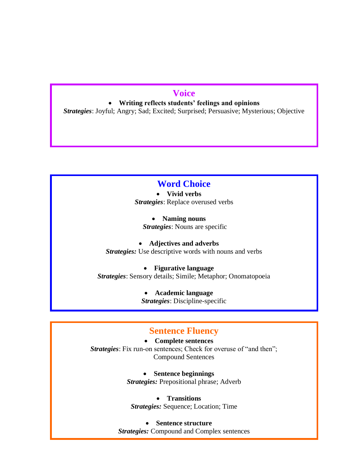# **Voice**

• **Writing reflects students' feelings and opinions**

*Strategies*: Joyful; Angry; Sad; Excited; Surprised; Persuasive; Mysterious; Objective

# **Word Choice**

• **Vivid verbs** *Strategies*: Replace overused verbs

• **Naming nouns** *Strategies*: Nouns are specific

• **Adjectives and adverbs** *Strategies:* Use descriptive words with nouns and verbs

• **Figurative language** *Strategies*: Sensory details; Simile; Metaphor; Onomatopoeia

> • **Academic language** *Strategies*: Discipline-specific

# **Sentence Fluency**

• **Complete sentences** *Strategies*: Fix run-on sentences; Check for overuse of "and then"; Compound Sentences

> • **Sentence beginnings** *Strategies:* Prepositional phrase; Adverb

• **Transitions** *Strategies:* Sequence; Location; Time

• **Sentence structure**

*Strategies:* Compound and Complex sentences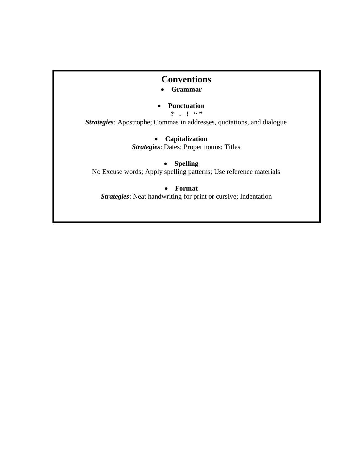# **Conventions**

- **Grammar**
- **Punctuation**
	- **?** . ! "

*Strategies*: Apostrophe; Commas in addresses, quotations, and dialogue

• **Capitalization**

*Strategies*: Dates; Proper nouns; Titles

## • **Spelling**

No Excuse words; Apply spelling patterns; Use reference materials

### • **Format**

*Strategies*: Neat handwriting for print or cursive; Indentation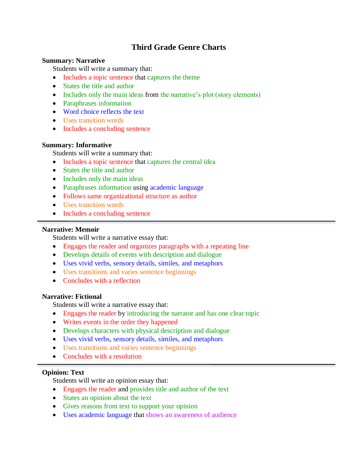# **Third Grade Genre Charts**

#### **Summary: Narrative**

Students will write a summary that:

- Includes a topic sentence that captures the theme
- States the title and author
- Includes only the main ideas from the narrative's plot (story elements)
- Paraphrases information
- Word choice reflects the text
- Uses transition words
- Includes a concluding sentence

#### **Summary: Informative**

Students will write a summary that:

- Includes a topic sentence that captures the central idea
- States the title and author
- Includes only the main ideas
- Paraphrases information using academic language
- Follows same organizational structure as author
- Uses transition words
- Includes a concluding sentence

#### **Narrative: Memoir**

Students will write a narrative essay that:

- Engages the reader and organizes paragraphs with a repeating line
- Develops details of events with description and dialogue
- Uses vivid verbs, sensory details, similes, and metaphors
- Uses transitions and varies sentence beginnings
- Concludes with a reflection

#### **Narrative: Fictional**

Students will write a narrative essay that:

- Engages the reader by introducing the narrator and has one clear topic
- Writes events in the order they happened
- Develops characters with physical description and dialogue
- Uses vivid verbs, sensory details, similes, and metaphors
- Uses transitions and varies sentence beginnings
- Concludes with a resolution

#### **Opinion: Text**

Students will write an opinion essay that:

- Engages the reader and provides title and author of the text
- States an opinion about the text
- Gives reasons from text to support your opinion
- Uses academic language that shows an awareness of audience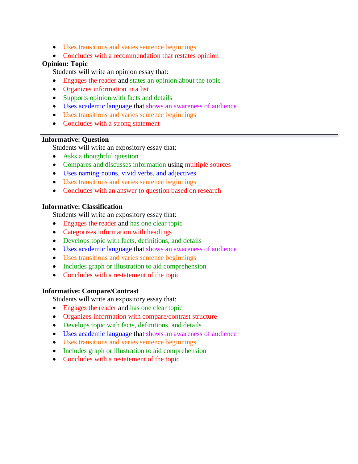- Uses transitions and varies sentence beginnings
- Concludes with a recommendation that restates opinion

#### **Opinion: Topic**

Students will write an opinion essay that:

- Engages the reader and states an opinion about the topic
- Organizes information in a list
- Supports opinion with facts and details
- Uses academic language that shows an awareness of audience
- Uses transitions and varies sentence beginnings
- Concludes with a strong statement

#### **Informative: Question**

Students will write an expository essay that:

- Asks a thoughtful question
- Compares and discusses information using multiple sources
- Uses naming nouns, vivid verbs, and adjectives
- Uses transitions and varies sentence beginnings
- Concludes with an answer to question based on research

#### **Informative: Classification**

Students will write an expository essay that:

- Engages the reader and has one clear topic
- Categorizes information with headings
- Develops topic with facts, definitions, and details
- Uses academic language that shows an awareness of audience
- Uses transitions and varies sentence beginnings
- Includes graph or illustration to aid comprehension
- Concludes with a restatement of the topic

#### **Informative: Compare/Contrast**

Students will write an expository essay that:

- Engages the reader and has one clear topic
- Organizes information with compare/contrast structure
- Develops topic with facts, definitions, and details
- Uses academic language that shows an awareness of audience
- Uses transitions and varies sentence beginnings
- Includes graph or illustration to aid comprehension
- Concludes with a restatement of the topic